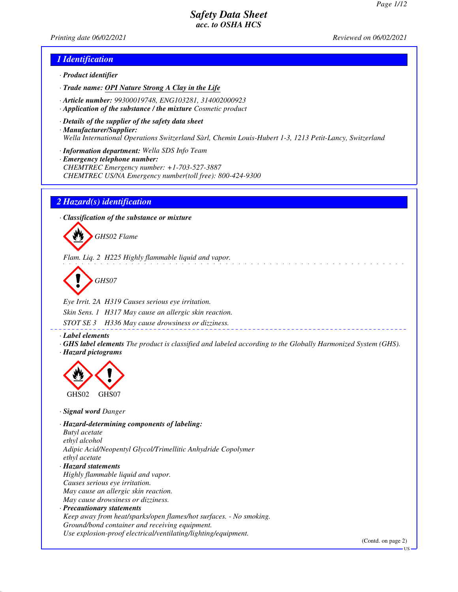*Printing date 06/02/2021 Reviewed on 06/02/2021*

#### *1 Identification*

- *· Product identifier*
- *· Trade name: OPI Nature Strong A Clay in the Life*
- *· Article number: 99300019748, ENG103281, 314002000923*
- *· Application of the substance / the mixture Cosmetic product*
- *· Details of the supplier of the safety data sheet · Manufacturer/Supplier: Wella International Operations Switzerland Sàrl, Chemin Louis-Hubert 1-3, 1213 Petit-Lancy, Switzerland*
- *· Information department: Wella SDS Info Team*
- *· Emergency telephone number: CHEMTREC Emergency number: +1-703-527-3887 CHEMTREC US/NA Emergency number(toll free): 800-424-9300*

#### *2 Hazard(s) identification*

*· Classification of the substance or mixture*



*Flam. Liq. 2 H225 Highly flammable liquid and vapor.*

*GHS07*

*Eye Irrit. 2A H319 Causes serious eye irritation. Skin Sens. 1 H317 May cause an allergic skin reaction. STOT SE 3 H336 May cause drowsiness or dizziness.*

*· Label elements*

*· GHS label elements The product is classified and labeled according to the Globally Harmonized System (GHS). · Hazard pictograms*



*· Signal word Danger*

*· Hazard-determining components of labeling: Butyl acetate ethyl alcohol Adipic Acid/Neopentyl Glycol/Trimellitic Anhydride Copolymer ethyl acetate · Hazard statements Highly flammable liquid and vapor. Causes serious eye irritation. May cause an allergic skin reaction. May cause drowsiness or dizziness. · Precautionary statements*

*Keep away from heat/sparks/open flames/hot surfaces. - No smoking. Ground/bond container and receiving equipment. Use explosion-proof electrical/ventilating/lighting/equipment.*

(Contd. on page 2)

US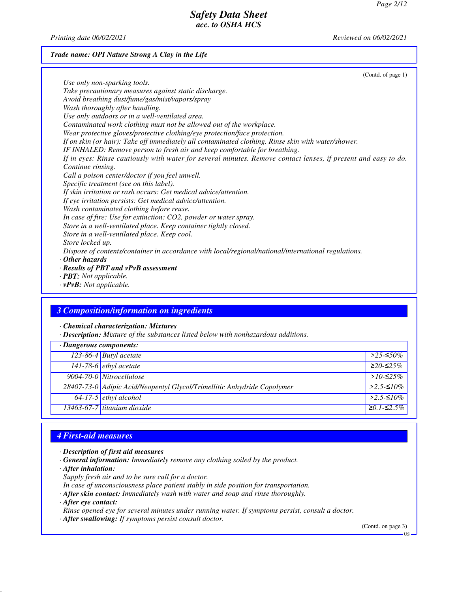*Printing date 06/02/2021 Reviewed on 06/02/2021*

*Trade name: OPI Nature Strong A Clay in the Life*

(Contd. of page 1) *Use only non-sparking tools. Take precautionary measures against static discharge. Avoid breathing dust/fume/gas/mist/vapors/spray Wash thoroughly after handling. Use only outdoors or in a well-ventilated area. Contaminated work clothing must not be allowed out of the workplace. Wear protective gloves/protective clothing/eye protection/face protection. If on skin (or hair): Take off immediately all contaminated clothing. Rinse skin with water/shower. IF INHALED: Remove person to fresh air and keep comfortable for breathing. If in eyes: Rinse cautiously with water for several minutes. Remove contact lenses, if present and easy to do. Continue rinsing. Call a poison center/doctor if you feel unwell. Specific treatment (see on this label). If skin irritation or rash occurs: Get medical advice/attention. If eye irritation persists: Get medical advice/attention. Wash contaminated clothing before reuse. In case of fire: Use for extinction: CO2, powder or water spray. Store in a well-ventilated place. Keep container tightly closed. Store in a well-ventilated place. Keep cool. Store locked up. Dispose of contents/container in accordance with local/regional/national/international regulations. · Other hazards · Results of PBT and vPvB assessment · PBT: Not applicable.*

*· vPvB: Not applicable.*

#### *3 Composition/information on ingredients*

*· Chemical characterization: Mixtures*

*· Description: Mixture of the substances listed below with nonhazardous additions.*

| $\cdot$ Dangerous components: |                                                                         |                     |
|-------------------------------|-------------------------------------------------------------------------|---------------------|
|                               | 123-86-4 Butyl acetate                                                  | $>$ 25-≤50%         |
|                               | $141-78-6$ ethyl acetate                                                | $≥20-≤25%$          |
|                               | 9004-70-0 Nitrocellulose                                                | > $10$ -≤25%        |
|                               | 28407-73-0 Adipic Acid/Neopentyl Glycol/Trimellitic Anhydride Copolymer | $>2.5-10\%$         |
|                               | $\sqrt{64-17-5}$ ethyl alcohol                                          | $>2.5-10\%$         |
|                               | 13463-67-7 titanium dioxide                                             | $\geq 0.1 - 52.5\%$ |

## *4 First-aid measures*

- *· Description of first aid measures*
- *· General information: Immediately remove any clothing soiled by the product.*
- *· After inhalation:*
- *Supply fresh air and to be sure call for a doctor.*
- *In case of unconsciousness place patient stably in side position for transportation.*
- *· After skin contact: Immediately wash with water and soap and rinse thoroughly.*
- *· After eye contact:*

*Rinse opened eye for several minutes under running water. If symptoms persist, consult a doctor.*

*· After swallowing: If symptoms persist consult doctor.*

(Contd. on page 3)

US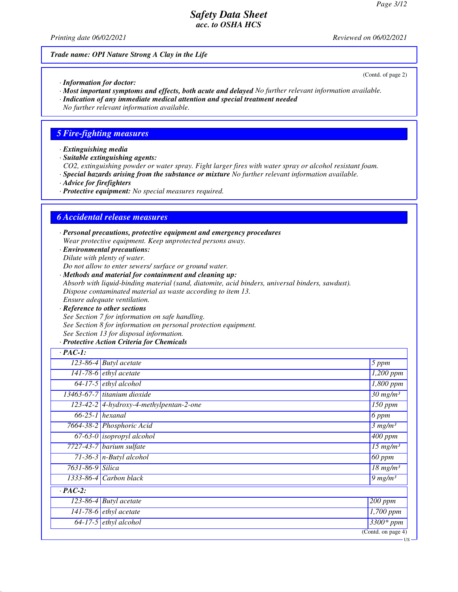*Printing date 06/02/2021 Reviewed on 06/02/2021*

*Trade name: OPI Nature Strong A Clay in the Life*

(Contd. of page 2)

US

- *· Information for doctor:*
- *· Most important symptoms and effects, both acute and delayed No further relevant information available.*
- *· Indication of any immediate medical attention and special treatment needed*
- *No further relevant information available.*

### *5 Fire-fighting measures*

- *· Extinguishing media*
- *· Suitable extinguishing agents:*
- *CO2, extinguishing powder or water spray. Fight larger fires with water spray or alcohol resistant foam.*
- *· Special hazards arising from the substance or mixture No further relevant information available.*
- *· Advice for firefighters*
- *· Protective equipment: No special measures required.*

### *6 Accidental release measures*

- *· Personal precautions, protective equipment and emergency procedures Wear protective equipment. Keep unprotected persons away.*
- *· Environmental precautions: Dilute with plenty of water.*
- *Do not allow to enter sewers/ surface or ground water.*
- *· Methods and material for containment and cleaning up: Absorb with liquid-binding material (sand, diatomite, acid binders, universal binders, sawdust). Dispose contaminated material as waste according to item 13. Ensure adequate ventilation.*
- *· Reference to other sections See Section 7 for information on safe handling. See Section 8 for information on personal protection equipment. See Section 13 for disposal information.*
- *· Protective Action Criteria for Chemicals*

| $\cdot$ PAC-1:   |                                         |                                   |
|------------------|-----------------------------------------|-----------------------------------|
|                  | $\overline{123}$ -86-4 Butyl acetate    | 5 ppm                             |
|                  | 141-78-6 $ethyl$ acetate                | $\overline{1,200}$ ppm            |
|                  | $64-17-5$ ethyl alcohol                 | 1,800 ppm                         |
|                  | 13463-67-7 titanium dioxide             | $\frac{30 \text{ m} g}{m}$        |
|                  | 123-42-2 4-hydroxy-4-methylpentan-2-one | $150$ ppm                         |
|                  | $66-25-1$ hexanal                       | $6$ ppm                           |
|                  | 7664-38-2 Phosphoric Acid               | 3 mg/m <sup>3</sup>               |
|                  | $67-63-0$ isopropyl alcohol             | $400$ ppm                         |
|                  | 7727-43-7 barium sulfate                | $15$ mg/m <sup>3</sup>            |
|                  | 71-36-3 $n$ -Butyl alcohol              | $\overline{60}$ ppm               |
| 7631-86-9 Silica |                                         | $\overline{18}$ mg/m <sup>3</sup> |
|                  | 1333-86-4 Carbon black                  | $9$ mg/m <sup>3</sup>             |
| $\cdot$ PAC-2:   |                                         |                                   |
|                  | $\overline{123-86-4}$ Butyl acetate     | $200$ ppm                         |
|                  | 141-78-6 $ethyl$ acetate                | $\overline{1,700}$ ppm            |
|                  | $64-17-5$ ethyl alcohol                 | $3300*ppm$                        |
|                  |                                         | $\overline{(Contd. on page 4)}$   |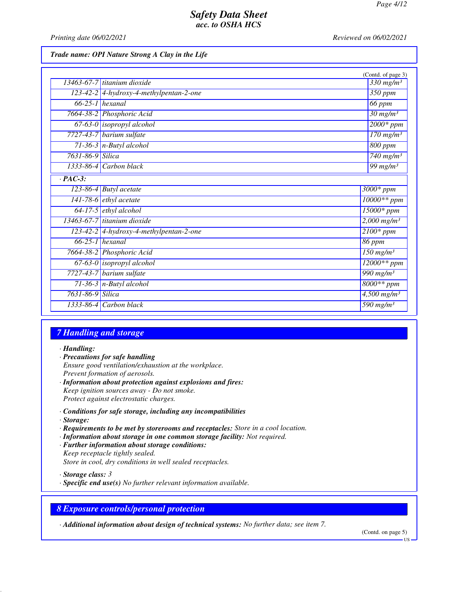*Printing date 06/02/2021 Reviewed on 06/02/2021*

*Trade name: OPI Nature Strong A Clay in the Life*

|                  |                                         | (Contd. of page 3)                 |
|------------------|-----------------------------------------|------------------------------------|
|                  | 13463-67-7 titanium dioxide             | $330$ mg/m <sup>3</sup>            |
|                  | 123-42-2 4-hydroxy-4-methylpentan-2-one | 350 ppm                            |
|                  | $66-25-1$ hexanal                       | 66 ppm                             |
|                  | 7664-38-2 Phosphoric Acid               | $\frac{30 \text{ mg}}{m^3}$        |
|                  | $67-63-0$ isopropyl alcohol             | $2000*ppm$                         |
|                  | 7727-43-7 barium sulfate                | $170$ mg/m <sup>3</sup>            |
|                  | $71-36-3$ n-Butyl alcohol               | 800 ppm                            |
| 7631-86-9 Silica |                                         | $740$ mg/m <sup>3</sup>            |
|                  | $1333-86-4$ Carbon black                | 99 mg/m $3$                        |
| $\cdot$ PAC-3:   |                                         |                                    |
|                  | $\overline{123-86-4}$ Butyl acetate     | $3000*$ ppm                        |
|                  | 141-78-6 $ethyl$ acetate                | $10000**$ ppm                      |
|                  | $64-17-5$ ethyl alcohol                 | 15000* ppm                         |
|                  | $13463-67-7$ titanium dioxide           | $2,000$ mg/m <sup>3</sup>          |
|                  | 123-42-2 4-hydroxy-4-methylpentan-2-one | $2100*$ ppm                        |
|                  | $66-25-1$ hexanal                       | $86$ ppm                           |
|                  | 7664-38-2 Phosphoric Acid               | $150$ mg/m <sup>3</sup>            |
|                  | $67-63-0$ isopropyl alcohol             | $12000**$ ppm                      |
|                  | 7727-43-7 barium sulfate                | $\frac{990 \text{ mg}}{m^3}$       |
|                  | $71-36-3$ n-Butyl alcohol               | $8000**$ ppm                       |
| 7631-86-9 Silica |                                         | $4,500$ mg/m <sup>3</sup>          |
|                  | $1333-86-4$ Carbon black                | $\overline{590}$ mg/m <sup>3</sup> |

### *7 Handling and storage*

*· Handling:*

- *· Precautions for safe handling Ensure good ventilation/exhaustion at the workplace. Prevent formation of aerosols. · Information about protection against explosions and fires:*
- *Keep ignition sources away Do not smoke. Protect against electrostatic charges.*
- *· Conditions for safe storage, including any incompatibilities · Storage:*
- *· Requirements to be met by storerooms and receptacles: Store in a cool location.*
- *· Information about storage in one common storage facility: Not required.*
- *· Further information about storage conditions: Keep receptacle tightly sealed. Store in cool, dry conditions in well sealed receptacles.*

*· Storage class: 3* 

*· Specific end use(s) No further relevant information available.*

## *8 Exposure controls/personal protection*

*· Additional information about design of technical systems: No further data; see item 7.*

(Contd. on page 5)

US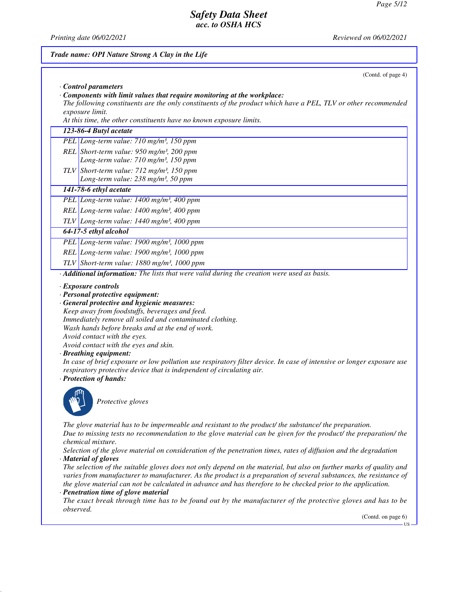*Printing date 06/02/2021 Reviewed on 06/02/2021*

|                                   | (Contd. of page 4)                                                                                                                                                                                                                                                                                                                                                                                                                                                                                                                                                                                                                           |
|-----------------------------------|----------------------------------------------------------------------------------------------------------------------------------------------------------------------------------------------------------------------------------------------------------------------------------------------------------------------------------------------------------------------------------------------------------------------------------------------------------------------------------------------------------------------------------------------------------------------------------------------------------------------------------------------|
| Control parameters                |                                                                                                                                                                                                                                                                                                                                                                                                                                                                                                                                                                                                                                              |
|                                   | $\cdot$ Components with limit values that require monitoring at the workplace:<br>The following constituents are the only constituents of the product which have a PEL, TLV or other recommended                                                                                                                                                                                                                                                                                                                                                                                                                                             |
| exposure limit.                   | At this time, the other constituents have no known exposure limits.                                                                                                                                                                                                                                                                                                                                                                                                                                                                                                                                                                          |
|                                   | 123-86-4 Butyl acetate                                                                                                                                                                                                                                                                                                                                                                                                                                                                                                                                                                                                                       |
|                                   | PEL Long-term value: 710 mg/m <sup>3</sup> , 150 ppm                                                                                                                                                                                                                                                                                                                                                                                                                                                                                                                                                                                         |
|                                   |                                                                                                                                                                                                                                                                                                                                                                                                                                                                                                                                                                                                                                              |
|                                   | REL Short-term value: $950$ mg/m <sup>3</sup> , 200 ppm<br>Long-term value: 710 mg/m <sup>3</sup> , 150 ppm                                                                                                                                                                                                                                                                                                                                                                                                                                                                                                                                  |
|                                   | TLV Short-term value: $712$ mg/m <sup>3</sup> , 150 ppm                                                                                                                                                                                                                                                                                                                                                                                                                                                                                                                                                                                      |
|                                   | Long-term value: 238 mg/m <sup>3</sup> , 50 ppm                                                                                                                                                                                                                                                                                                                                                                                                                                                                                                                                                                                              |
|                                   | 141-78-6 ethyl acetate                                                                                                                                                                                                                                                                                                                                                                                                                                                                                                                                                                                                                       |
|                                   | PEL Long-term value: 1400 mg/m <sup>3</sup> , 400 ppm                                                                                                                                                                                                                                                                                                                                                                                                                                                                                                                                                                                        |
|                                   | REL Long-term value: 1400 mg/m <sup>3</sup> , 400 ppm                                                                                                                                                                                                                                                                                                                                                                                                                                                                                                                                                                                        |
|                                   | $TLV$ Long-term value: 1440 mg/m <sup>3</sup> , 400 ppm                                                                                                                                                                                                                                                                                                                                                                                                                                                                                                                                                                                      |
|                                   | 64-17-5 ethyl alcohol                                                                                                                                                                                                                                                                                                                                                                                                                                                                                                                                                                                                                        |
|                                   | PEL Long-term value: 1900 mg/m <sup>3</sup> , 1000 ppm                                                                                                                                                                                                                                                                                                                                                                                                                                                                                                                                                                                       |
|                                   | REL Long-term value: 1900 mg/m <sup>3</sup> , 1000 ppm                                                                                                                                                                                                                                                                                                                                                                                                                                                                                                                                                                                       |
|                                   | TLV Short-term value: $1880$ mg/m <sup>3</sup> , 1000 ppm                                                                                                                                                                                                                                                                                                                                                                                                                                                                                                                                                                                    |
|                                   | · Additional information: The lists that were valid during the creation were used as basis.                                                                                                                                                                                                                                                                                                                                                                                                                                                                                                                                                  |
|                                   | · General protective and hygienic measures:<br>Keep away from foodstuffs, beverages and feed.                                                                                                                                                                                                                                                                                                                                                                                                                                                                                                                                                |
|                                   | Immediately remove all soiled and contaminated clothing.<br>Wash hands before breaks and at the end of work.<br>Avoid contact with the eyes.<br>Avoid contact with the eyes and skin.<br>· Breathing equipment:<br>respiratory protective device that is independent of circulating air.<br>· Protection of hands:                                                                                                                                                                                                                                                                                                                           |
|                                   | Protective gloves                                                                                                                                                                                                                                                                                                                                                                                                                                                                                                                                                                                                                            |
| <i>chemical mixture.</i>          | The glove material has to be impermeable and resistant to the product/ the substance/ the preparation.                                                                                                                                                                                                                                                                                                                                                                                                                                                                                                                                       |
|                                   | Selection of the glove material on consideration of the penetration times, rates of diffusion and the degradation                                                                                                                                                                                                                                                                                                                                                                                                                                                                                                                            |
|                                   | the glove material can not be calculated in advance and has therefore to be checked prior to the application.                                                                                                                                                                                                                                                                                                                                                                                                                                                                                                                                |
| · Material of gloves<br>observed. | In case of brief exposure or low pollution use respiratory filter device. In case of intensive or longer exposure use<br>Due to missing tests no recommendation to the glove material can be given for the product/ the preparation/ the<br>The selection of the suitable gloves does not only depend on the material, but also on further marks of quality and<br>varies from manufacturer to manufacturer. As the product is a preparation of several substances, the resistance of<br>· Penetration time of glove material<br>The exact break through time has to be found out by the manufacturer of the protective gloves and has to be |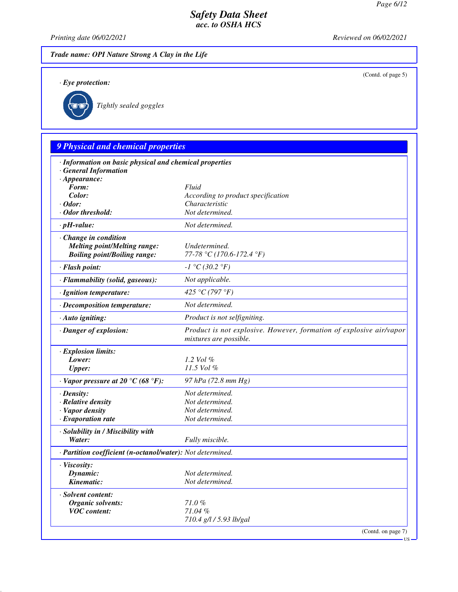(Contd. of page 5)

US

#### *Safety Data Sheet acc. to OSHA HCS*

*Printing date 06/02/2021 Reviewed on 06/02/2021*

*Trade name: OPI Nature Strong A Clay in the Life*

*· Eye protection:*



*Tightly sealed goggles*

# *9 Physical and chemical properties · Information on basic physical and chemical properties · General Information · Appearance: Form: Fluid Color: According to product specification · Odor: Characteristic · Odor threshold: Not determined. · pH-value: Not determined. · Change in condition Melting point/Melting range: Undetermined. Boiling point/Boiling range: 77-78 °C (170.6-172.4 °F) · Flash point: -1 °C (30.2 °F) · Flammability (solid, gaseous): Not applicable. · Ignition temperature: 425 °C (797 °F) · Decomposition temperature: Not determined. · Auto igniting: Product is not selfigniting. · Danger of explosion: Product is not explosive. However, formation of explosive air/vapor mixtures are possible. · Explosion limits: Lower: 1.2 Vol % Upper: 11.5 Vol % · Vapor pressure at 20 °C (68 °F): 97 hPa (72.8 mm Hg) · Density: Not determined. · Relative density Not determined. · Vapor density Not determined. <i>·* Evaporation rate *· Solubility in / Miscibility with Water: Fully miscible. · Partition coefficient (n-octanol/water): Not determined. · Viscosity: Dynamic: Not determined. Kinematic: Not determined. · Solvent content: Organic solvents: 71.0 % VOC content: 71.04 % 710.4 g/l / 5.93 lb/gal* (Contd. on page 7)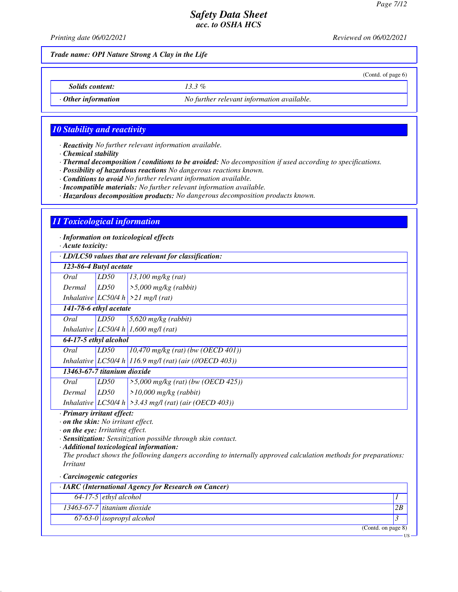(Contd. of page 6)

### *Safety Data Sheet acc. to OSHA HCS*

*Printing date 06/02/2021 Reviewed on 06/02/2021*

*Trade name: OPI Nature Strong A Clay in the Life*

*Solids content: 13.3 %*

*· Other information No further relevant information available.*

#### *10 Stability and reactivity*

*· Reactivity No further relevant information available.*

*· Chemical stability*

*· Thermal decomposition / conditions to be avoided: No decomposition if used according to specifications.*

*· Possibility of hazardous reactions No dangerous reactions known.*

*· Conditions to avoid No further relevant information available.*

*· Incompatible materials: No further relevant information available.*

*· Hazardous decomposition products: No dangerous decomposition products known.*

#### *11 Toxicological information*

*· Information on toxicological effects*

*· Acute toxicity:*

*· LD/LC50 values that are relevant for classification:*

| · LD/LC50 values inal are relevant for classification: |      |                                                             |
|--------------------------------------------------------|------|-------------------------------------------------------------|
| 123-86-4 Butyl acetate                                 |      |                                                             |
| Oral                                                   | LD50 | $13,100$ mg/kg (rat)                                        |
| Dermal                                                 | LD50 | $\geq 5,000$ mg/kg (rabbit)                                 |
|                                                        |      | Inhalative LC50/4 h $>21$ mg/l (rat)                        |
| 141-78-6 ethyl acetate                                 |      |                                                             |
| Oral                                                   | LD50 | $5,620$ mg/kg (rabbit)                                      |
|                                                        |      | Inhalative LC50/4 h 1,600 mg/l (rat)                        |
| 64-17-5 ethyl alcohol                                  |      |                                                             |
| Oral                                                   | LD50 | $10,470$ mg/kg (rat) (bw (OECD 401))                        |
|                                                        |      | Inhalative LC50/4 h 116.9 mg/l (rat) (air (//OECD 403))     |
| 13463-67-7 titanium dioxide                            |      |                                                             |
| Oral                                                   | LD50 | $>5,000$ mg/kg (rat) (bw (OECD 425))                        |
| Dermal                                                 | LD50 | $>10,000$ mg/kg (rabbit)                                    |
|                                                        |      | Inhalative LC50/4 h $\geq$ 3.43 mg/l (rat) (air (OECD 403)) |

*· Primary irritant effect:*

*· on the skin: No irritant effect.*

*· on the eye: Irritating effect.*

*· Sensitization: Sensitization possible through skin contact.*

*· Additional toxicological information:*

*The product shows the following dangers according to internally approved calculation methods for preparations: Irritant*

*· Carcinogenic categories*

| $\cdot$ IARC (International Agency for Research on Cancer) |                                  |    |
|------------------------------------------------------------|----------------------------------|----|
|                                                            | $64-17-5$ ethyl alcohol          |    |
|                                                            | 13463-67-7 titanium dioxide      | 2B |
|                                                            | 67-63-0 <i>isopropyl</i> alcohol |    |
|                                                            | (Contd. on page 8)               |    |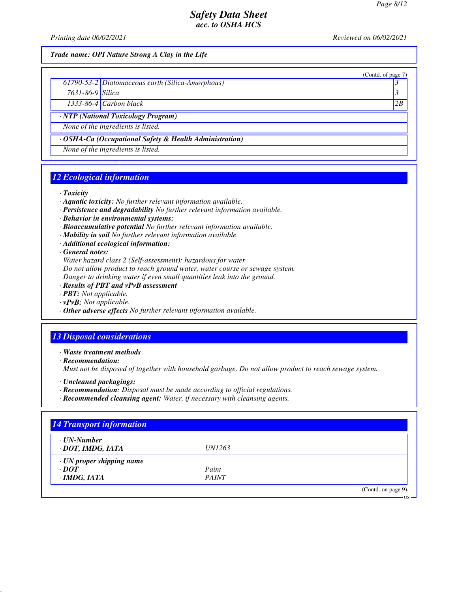(Contd. of page 7)

### *Safety Data Sheet acc. to OSHA HCS*

*Printing date 06/02/2021 Reviewed on 06/02/2021*

*Trade name: OPI Nature Strong A Clay in the Life*

|  | 61790-53-2 Diatomaceous earth (Silica-Amorphous) |  |
|--|--------------------------------------------------|--|
|--|--------------------------------------------------|--|

*7631-86-9 Silica 3* 

*1333-86-4 Carbon black 2B*

*· NTP (National Toxicology Program)*

*None of the ingredients is listed.*

*· OSHA-Ca (Occupational Safety & Health Administration)*

*None of the ingredients is listed.*

### *12 Ecological information*

*· Toxicity*

- *· Aquatic toxicity: No further relevant information available.*
- *· Persistence and degradability No further relevant information available.*
- *· Behavior in environmental systems:*
- *· Bioaccumulative potential No further relevant information available.*
- *· Mobility in soil No further relevant information available.*
- *· Additional ecological information:*

*· General notes:*

*Water hazard class 2 (Self-assessment): hazardous for water*

*Do not allow product to reach ground water, water course or sewage system.*

*Danger to drinking water if even small quantities leak into the ground.*

- *· Results of PBT and vPvB assessment*
- *· PBT: Not applicable.*
- *· vPvB: Not applicable.*
- *· Other adverse effects No further relevant information available.*

#### *13 Disposal considerations*

*· Waste treatment methods*

*· Recommendation:*

*Must not be disposed of together with household garbage. Do not allow product to reach sewage system.*

- *· Uncleaned packagings:*
- *· Recommendation: Disposal must be made according to official regulations.*
- *· Recommended cleansing agent: Water, if necessary with cleansing agents.*

| $\cdot$ UN-Number               |               |  |
|---------------------------------|---------------|--|
| · DOT, IMDG, IATA               | <i>UN1263</i> |  |
| $\cdot$ UN proper shipping name |               |  |
| $\cdot$ DOT                     | Paint         |  |
| $\cdot$ IMDG, IATA              | <b>PAINT</b>  |  |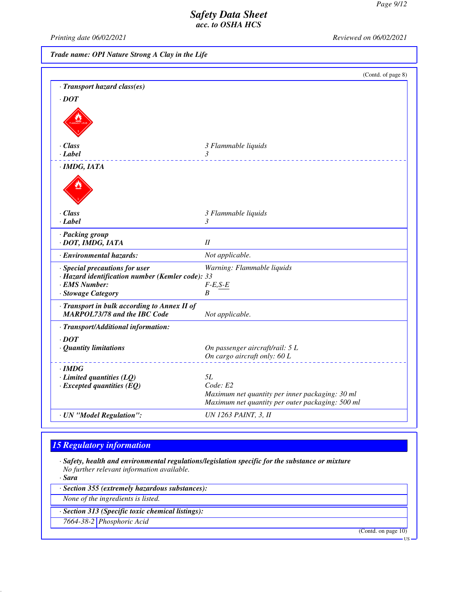*Printing date 06/02/2021 Reviewed on 06/02/2021*

*Trade name: OPI Nature Strong A Clay in the Life*

|                                                                                                                           | (Contd. of page 8)                                                                                              |
|---------------------------------------------------------------------------------------------------------------------------|-----------------------------------------------------------------------------------------------------------------|
| · Transport hazard class(es)                                                                                              |                                                                                                                 |
| $\cdot$ DOT                                                                                                               |                                                                                                                 |
|                                                                                                                           |                                                                                                                 |
| $\cdot$ Class                                                                                                             | 3 Flammable liquids                                                                                             |
| $\cdot$ Label                                                                                                             | 3                                                                                                               |
| $\cdot$ IMDG, IATA                                                                                                        |                                                                                                                 |
|                                                                                                                           |                                                                                                                 |
| $\cdot$ Class                                                                                                             | 3 Flammable liquids                                                                                             |
| $\cdot$ Label                                                                                                             | 3                                                                                                               |
| · Packing group<br>· DOT, IMDG, IATA                                                                                      | II                                                                                                              |
| · Environmental hazards:                                                                                                  | Not applicable.                                                                                                 |
| · Special precautions for user<br>· Hazard identification number (Kemler code): 33<br>· EMS Number:<br>· Stowage Category | Warning: Flammable liquids<br>$F-E, S-E$<br>B                                                                   |
| · Transport in bulk according to Annex II of<br><b>MARPOL73/78 and the IBC Code</b>                                       | Not applicable.                                                                                                 |
| · Transport/Additional information:                                                                                       |                                                                                                                 |
| $\cdot$ DOT<br>· Quantity limitations                                                                                     | On passenger aircraft/rail: 5 L<br>On cargo aircraft only: 60 L                                                 |
| $\cdot$ IMDG                                                                                                              |                                                                                                                 |
| $\cdot$ Limited quantities (LQ)                                                                                           | 5L                                                                                                              |
| $\cdot$ Excepted quantities (EQ)                                                                                          | Code: E2<br>Maximum net quantity per inner packaging: 30 ml<br>Maximum net quantity per outer packaging: 500 ml |
| · UN "Model Regulation":                                                                                                  | <b>UN 1263 PAINT, 3, II</b>                                                                                     |

## *15 Regulatory information*

*· Safety, health and environmental regulations/legislation specific for the substance or mixture No further relevant information available.*

*· Sara*

*· Section 355 (extremely hazardous substances):*

*None of the ingredients is listed.*

*· Section 313 (Specific toxic chemical listings):*

*7664-38-2 Phosphoric Acid*

(Contd. on page 10)

US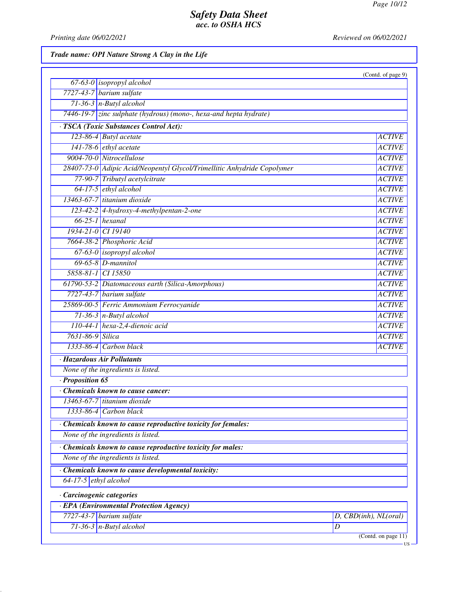*Printing date 06/02/2021 Reviewed on 06/02/2021*

*Trade name: OPI Nature Strong A Clay in the Life*

|                         |                                                                         | (Contd. of page 9)    |
|-------------------------|-------------------------------------------------------------------------|-----------------------|
|                         | $67-63-0$ isopropyl alcohol                                             |                       |
|                         | 7727-43-7 barium sulfate                                                |                       |
|                         | $71-36-3$ n-Butyl alcohol                                               |                       |
|                         | 7446-19-7 zinc sulphate (hydrous) (mono-, hexa-and hepta hydrate)       |                       |
|                         | · TSCA (Toxic Substances Control Act):                                  |                       |
|                         | 123-86-4 Butyl acetate                                                  | <b>ACTIVE</b>         |
|                         | 141-78-6 ethyl acetate                                                  | <b>ACTIVE</b>         |
|                         | 9004-70-0 Nitrocellulose                                                | <b>ACTIVE</b>         |
|                         | 28407-73-0 Adipic Acid/Neopentyl Glycol/Trimellitic Anhydride Copolymer | <b>ACTIVE</b>         |
|                         | 77-90-7 Tributyl acetylcitrate                                          | <b>ACTIVE</b>         |
|                         | $64-17-5$ ethyl alcohol                                                 | <b>ACTIVE</b>         |
|                         | 13463-67-7 titanium dioxide                                             | <b>ACTIVE</b>         |
|                         | 123-42-2 4-hydroxy-4-methylpentan-2-one                                 | <b>ACTIVE</b>         |
|                         | $66-25-1$ hexanal                                                       | <b>ACTIVE</b>         |
|                         | 1934-21-0 CI 19140                                                      | <b>ACTIVE</b>         |
|                         | 7664-38-2 Phosphoric Acid                                               | <b>ACTIVE</b>         |
|                         | 67-63-0 isopropyl alcohol                                               | <b>ACTIVE</b>         |
|                         | $69-65-8$ D-mannitol                                                    | <b>ACTIVE</b>         |
|                         | 5858-81-1 CI 15850                                                      | <b>ACTIVE</b>         |
|                         | 61790-53-2 Diatomaceous earth (Silica-Amorphous)                        | <b>ACTIVE</b>         |
|                         | $7727-43-7$ barium sulfate                                              | <b>ACTIVE</b>         |
|                         | 25869-00-5 Ferric Ammonium Ferrocyanide                                 | <b>ACTIVE</b>         |
|                         | $71-36-3$ n-Butyl alcohol                                               | <b>ACTIVE</b>         |
|                         | 110-44-1 hexa-2,4-dienoic acid                                          | <b>ACTIVE</b>         |
| 7631-86-9 Silica        |                                                                         | <b>ACTIVE</b>         |
|                         | $1333-86-4$ Carbon black                                                | <b>ACTIVE</b>         |
|                         | · Hazardous Air Pollutants                                              |                       |
|                         | None of the ingredients is listed.                                      |                       |
| · Proposition 65        |                                                                         |                       |
|                         | Chemicals known to cause cancer:                                        |                       |
|                         | 13463-67-7 titanium dioxide                                             |                       |
| 1333-86-4               | Carbon black                                                            |                       |
|                         | Chemicals known to cause reproductive toxicity for females:             |                       |
|                         | None of the ingredients is listed.                                      |                       |
|                         | Chemicals known to cause reproductive toxicity for males:               |                       |
|                         | None of the ingredients is listed.                                      |                       |
|                         | Chemicals known to cause developmental toxicity:                        |                       |
| 64-17-5 $ethyl$ alcohol |                                                                         |                       |
|                         |                                                                         |                       |
|                         | · Carcinogenic categories<br>· EPA (Environmental Protection Agency)    |                       |
|                         | $7727-43-7$ barium sulfate                                              | D, CBD(inh), NL(oral) |
|                         | $71-36-3$ n-Butyl alcohol                                               | D                     |
|                         |                                                                         | (Contd. on page 11)   |
|                         |                                                                         | <b>US</b>             |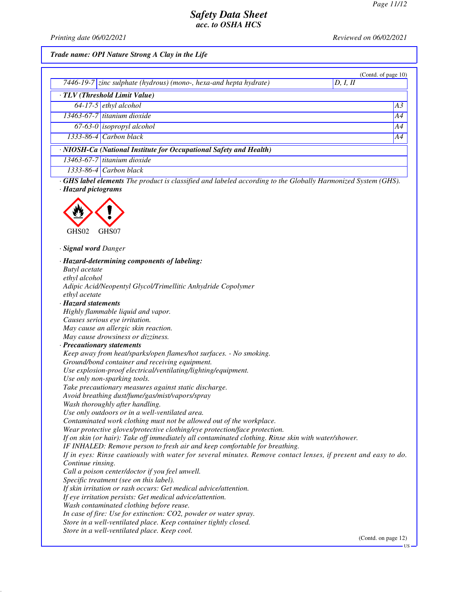*Printing date 06/02/2021 Reviewed on 06/02/2021*

#### *Trade name: OPI Nature Strong A Clay in the Life*

|                                                                               |                               | (Contd. of page $10$ ) |  |  |
|-------------------------------------------------------------------------------|-------------------------------|------------------------|--|--|
| 7446-19-7 zinc sulphate (hydrous) (mono-, hexa-and hepta hydrate)<br>D, I, II |                               |                        |  |  |
| $\overline{\cdot \, TLV(Threshold Limit Value)}$                              |                               |                        |  |  |
|                                                                               | $64-17-5$ ethyl alcohol       | A3                     |  |  |
|                                                                               | $13463-67-7$ titanium dioxide | A4                     |  |  |
|                                                                               | $67-63-0$ isopropyl alcohol   | A4                     |  |  |
|                                                                               | $1333 - 86 - 4$ Carbon black  | A4                     |  |  |
| · NIOSH-Ca (National Institute for Occupational Safety and Health)            |                               |                        |  |  |
|                                                                               | 13463-67-7 titanium dioxide   |                        |  |  |
|                                                                               | $1333-86-4$ Carbon black      |                        |  |  |

*· GHS label elements The product is classified and labeled according to the Globally Harmonized System (GHS). · Hazard pictograms*



*· Signal word Danger*

*· Hazard-determining components of labeling: Butyl acetate ethyl alcohol Adipic Acid/Neopentyl Glycol/Trimellitic Anhydride Copolymer ethyl acetate · Hazard statements Highly flammable liquid and vapor. Causes serious eye irritation. May cause an allergic skin reaction. May cause drowsiness or dizziness. · Precautionary statements Keep away from heat/sparks/open flames/hot surfaces. - No smoking. Ground/bond container and receiving equipment. Use explosion-proof electrical/ventilating/lighting/equipment. Use only non-sparking tools. Take precautionary measures against static discharge. Avoid breathing dust/fume/gas/mist/vapors/spray Wash thoroughly after handling. Use only outdoors or in a well-ventilated area. Contaminated work clothing must not be allowed out of the workplace. Wear protective gloves/protective clothing/eye protection/face protection. If on skin (or hair): Take off immediately all contaminated clothing. Rinse skin with water/shower. IF INHALED: Remove person to fresh air and keep comfortable for breathing. If in eyes: Rinse cautiously with water for several minutes. Remove contact lenses, if present and easy to do. Continue rinsing. Call a poison center/doctor if you feel unwell. Specific treatment (see on this label). If skin irritation or rash occurs: Get medical advice/attention. If eye irritation persists: Get medical advice/attention. Wash contaminated clothing before reuse. In case of fire: Use for extinction: CO2, powder or water spray. Store in a well-ventilated place. Keep container tightly closed. Store in a well-ventilated place. Keep cool.*

(Contd. on page 12)